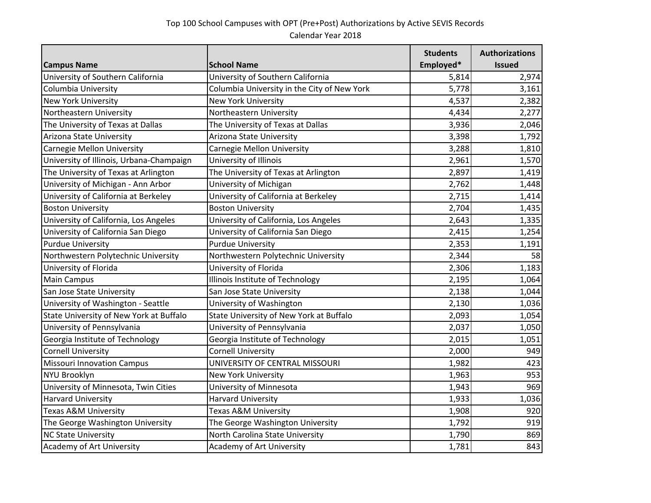| <b>Campus Name</b>                       | <b>School Name</b>                          | <b>Students</b><br>Employed* | <b>Authorizations</b><br><b>Issued</b> |
|------------------------------------------|---------------------------------------------|------------------------------|----------------------------------------|
| University of Southern California        | University of Southern California           | 5,814                        | 2,974                                  |
| Columbia University                      | Columbia University in the City of New York | 5,778                        | 3,161                                  |
| <b>New York University</b>               | <b>New York University</b>                  | 4,537                        | 2,382                                  |
| Northeastern University                  | Northeastern University                     | 4,434                        | 2,277                                  |
| The University of Texas at Dallas        | The University of Texas at Dallas           | 3,936                        | 2,046                                  |
| Arizona State University                 | Arizona State University                    | 3,398                        | 1,792                                  |
| Carnegie Mellon University               | <b>Carnegie Mellon University</b>           | 3,288                        | 1,810                                  |
| University of Illinois, Urbana-Champaign | University of Illinois                      | 2,961                        | 1,570                                  |
| The University of Texas at Arlington     | The University of Texas at Arlington        | 2,897                        | 1,419                                  |
| University of Michigan - Ann Arbor       | University of Michigan                      | 2,762                        | 1,448                                  |
| University of California at Berkeley     | University of California at Berkeley        | 2,715                        | 1,414                                  |
| <b>Boston University</b>                 | <b>Boston University</b>                    | 2,704                        | 1,435                                  |
| University of California, Los Angeles    | University of California, Los Angeles       | 2,643                        | 1,335                                  |
| University of California San Diego       | University of California San Diego          | 2,415                        | 1,254                                  |
| <b>Purdue University</b>                 | <b>Purdue University</b>                    | 2,353                        | 1,191                                  |
| Northwestern Polytechnic University      | Northwestern Polytechnic University         | 2,344                        | 58                                     |
| University of Florida                    | University of Florida                       | 2,306                        | 1,183                                  |
| <b>Main Campus</b>                       | Illinois Institute of Technology            | 2,195                        | 1,064                                  |
| San Jose State University                | San Jose State University                   | 2,138                        | 1,044                                  |
| University of Washington - Seattle       | University of Washington                    | 2,130                        | 1,036                                  |
| State University of New York at Buffalo  | State University of New York at Buffalo     | 2,093                        | 1,054                                  |
| University of Pennsylvania               | University of Pennsylvania                  | 2,037                        | 1,050                                  |
| Georgia Institute of Technology          | Georgia Institute of Technology             | 2,015                        | 1,051                                  |
| <b>Cornell University</b>                | <b>Cornell University</b>                   | 2,000                        | 949                                    |
| <b>Missouri Innovation Campus</b>        | UNIVERSITY OF CENTRAL MISSOURI              | 1,982                        | 423                                    |
| <b>NYU Brooklyn</b>                      | <b>New York University</b>                  | 1,963                        | 953                                    |
| University of Minnesota, Twin Cities     | University of Minnesota                     | 1,943                        | 969                                    |
| <b>Harvard University</b>                | <b>Harvard University</b>                   | 1,933                        | 1,036                                  |
| <b>Texas A&amp;M University</b>          | Texas A&M University                        | 1,908                        | 920                                    |
| The George Washington University         | The George Washington University            | 1,792                        | 919                                    |
| <b>NC State University</b>               | North Carolina State University             | 1,790                        | 869                                    |
| Academy of Art University                | Academy of Art University                   | 1,781                        | 843                                    |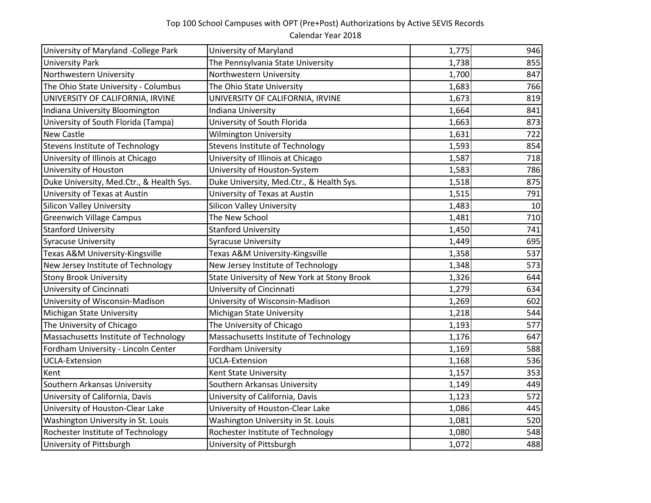## Top 100 School Campuses with OPT (Pre+Post) Authorizations by Active SEVIS Records Calendar Year 2018

| University of Maryland -College Park     | University of Maryland                      | 1,775 | 946 |
|------------------------------------------|---------------------------------------------|-------|-----|
| <b>University Park</b>                   | The Pennsylvania State University           | 1,738 | 855 |
| Northwestern University                  | Northwestern University                     | 1,700 | 847 |
| The Ohio State University - Columbus     | The Ohio State University                   | 1,683 | 766 |
| UNIVERSITY OF CALIFORNIA, IRVINE         | UNIVERSITY OF CALIFORNIA, IRVINE            | 1,673 | 819 |
| Indiana University Bloomington           | Indiana University                          | 1,664 | 841 |
| University of South Florida (Tampa)      | University of South Florida                 | 1,663 | 873 |
| <b>New Castle</b>                        | <b>Wilmington University</b>                | 1,631 | 722 |
| Stevens Institute of Technology          | Stevens Institute of Technology             | 1,593 | 854 |
| University of Illinois at Chicago        | University of Illinois at Chicago           | 1,587 | 718 |
| University of Houston                    | University of Houston-System                | 1,583 | 786 |
| Duke University, Med.Ctr., & Health Sys. | Duke University, Med.Ctr., & Health Sys.    | 1,518 | 875 |
| University of Texas at Austin            | University of Texas at Austin               | 1,515 | 791 |
| <b>Silicon Valley University</b>         | <b>Silicon Valley University</b>            | 1,483 | 10  |
| <b>Greenwich Village Campus</b>          | The New School                              | 1,481 | 710 |
| <b>Stanford University</b>               | <b>Stanford University</b>                  | 1,450 | 741 |
| <b>Syracuse University</b>               | <b>Syracuse University</b>                  | 1,449 | 695 |
| Texas A&M University-Kingsville          | Texas A&M University-Kingsville             | 1,358 | 537 |
| New Jersey Institute of Technology       | New Jersey Institute of Technology          | 1,348 | 573 |
| <b>Stony Brook University</b>            | State University of New York at Stony Brook | 1,326 | 644 |
| University of Cincinnati                 | University of Cincinnati                    | 1,279 | 634 |
| University of Wisconsin-Madison          | University of Wisconsin-Madison             | 1,269 | 602 |
| Michigan State University                | Michigan State University                   | 1,218 | 544 |
| The University of Chicago                | The University of Chicago                   | 1,193 | 577 |
| Massachusetts Institute of Technology    | Massachusetts Institute of Technology       | 1,176 | 647 |
| Fordham University - Lincoln Center      | Fordham University                          | 1,169 | 588 |
| <b>UCLA-Extension</b>                    | <b>UCLA-Extension</b>                       | 1,168 | 536 |
| Kent                                     | Kent State University                       | 1,157 | 353 |
| Southern Arkansas University             | Southern Arkansas University                | 1,149 | 449 |
| University of California, Davis          | University of California, Davis             | 1,123 | 572 |
| University of Houston-Clear Lake         | University of Houston-Clear Lake            | 1,086 | 445 |
| Washington University in St. Louis       | Washington University in St. Louis          | 1,081 | 520 |
| Rochester Institute of Technology        | Rochester Institute of Technology           | 1,080 | 548 |
| University of Pittsburgh                 | University of Pittsburgh                    | 1,072 | 488 |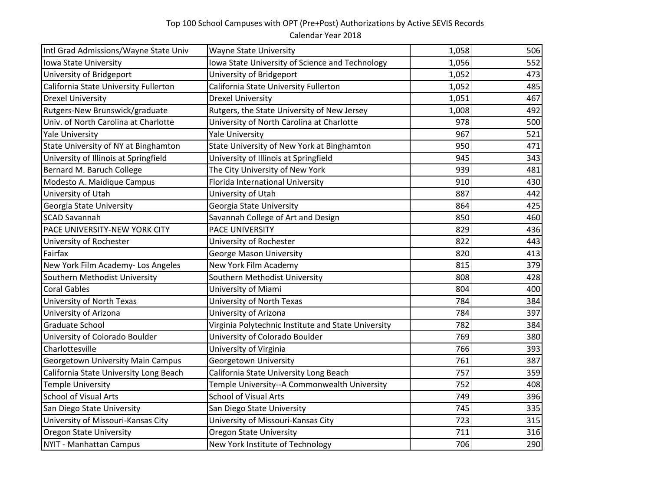## Top 100 School Campuses with OPT (Pre+Post) Authorizations by Active SEVIS Records Calendar Year 2018

| Intl Grad Admissions/Wayne State Univ    | <b>Wayne State University</b>                       | 1,058 | 506 |
|------------------------------------------|-----------------------------------------------------|-------|-----|
| Iowa State University                    | Iowa State University of Science and Technology     | 1,056 | 552 |
| University of Bridgeport                 | University of Bridgeport                            | 1,052 | 473 |
| California State University Fullerton    | California State University Fullerton               | 1,052 | 485 |
| <b>Drexel University</b>                 | <b>Drexel University</b>                            | 1,051 | 467 |
| Rutgers-New Brunswick/graduate           | Rutgers, the State University of New Jersey         | 1,008 | 492 |
| Univ. of North Carolina at Charlotte     | University of North Carolina at Charlotte           | 978   | 500 |
| <b>Yale University</b>                   | <b>Yale University</b>                              | 967   | 521 |
| State University of NY at Binghamton     | State University of New York at Binghamton          | 950   | 471 |
| University of Illinois at Springfield    | University of Illinois at Springfield               | 945   | 343 |
| Bernard M. Baruch College                | The City University of New York                     | 939   | 481 |
| Modesto A. Maidique Campus               | Florida International University                    | 910   | 430 |
| University of Utah                       | University of Utah                                  | 887   | 442 |
| Georgia State University                 | Georgia State University                            | 864   | 425 |
| <b>SCAD Savannah</b>                     | Savannah College of Art and Design                  | 850   | 460 |
| PACE UNIVERSITY-NEW YORK CITY            | PACE UNIVERSITY                                     | 829   | 436 |
| University of Rochester                  | University of Rochester                             | 822   | 443 |
| Fairfax                                  | <b>George Mason University</b>                      | 820   | 413 |
| New York Film Academy- Los Angeles       | New York Film Academy                               | 815   | 379 |
| Southern Methodist University            | Southern Methodist University                       | 808   | 428 |
| <b>Coral Gables</b>                      | University of Miami                                 | 804   | 400 |
| University of North Texas                | University of North Texas                           | 784   | 384 |
| University of Arizona                    | University of Arizona                               | 784   | 397 |
| <b>Graduate School</b>                   | Virginia Polytechnic Institute and State University | 782   | 384 |
| University of Colorado Boulder           | University of Colorado Boulder                      | 769   | 380 |
| Charlottesville                          | University of Virginia                              | 766   | 393 |
| <b>Georgetown University Main Campus</b> | Georgetown University                               | 761   | 387 |
| California State University Long Beach   | California State University Long Beach              | 757   | 359 |
| <b>Temple University</b>                 | Temple University--A Commonwealth University        | 752   | 408 |
| <b>School of Visual Arts</b>             | <b>School of Visual Arts</b>                        | 749   | 396 |
| San Diego State University               | San Diego State University                          | 745   | 335 |
| University of Missouri-Kansas City       | University of Missouri-Kansas City                  | 723   | 315 |
| <b>Oregon State University</b>           | <b>Oregon State University</b>                      | 711   | 316 |
| <b>NYIT - Manhattan Campus</b>           | New York Institute of Technology                    | 706   | 290 |